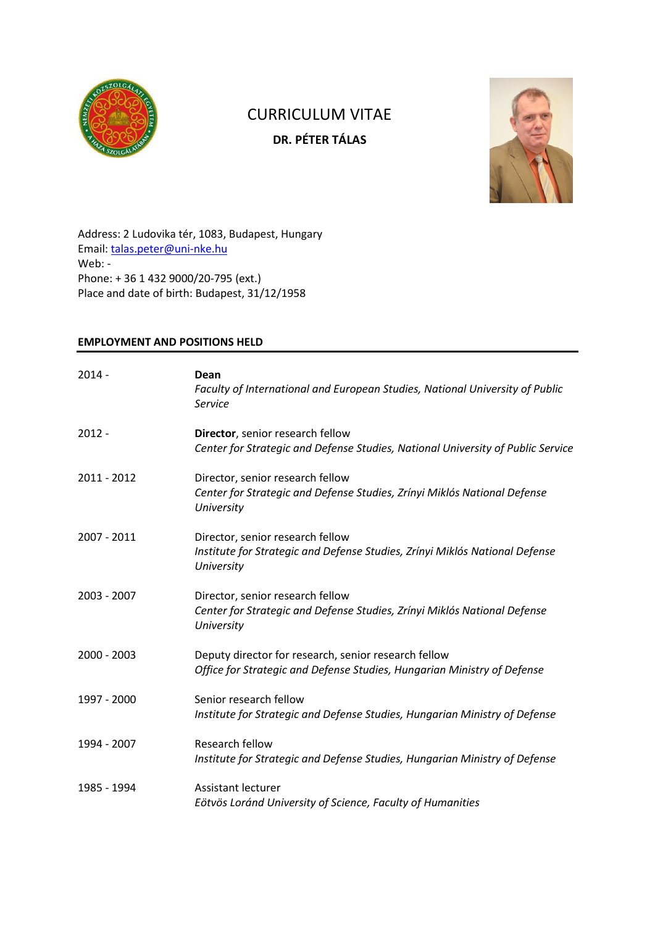

# CURRICULUM VITAE **DR. PÉTER TÁLAS**



Address: 2 Ludovika tér, 1083, Budapest, Hungary Email: [talas.peter@uni-nke.hu](mailto:talas.peter@uni-nke.hu) Web: - Phone: + 36 1 432 9000/20-795 (ext.) Place and date of birth: Budapest, 31/12/1958

## **EMPLOYMENT AND POSITIONS HELD**

| $2014 -$    | Dean<br>Faculty of International and European Studies, National University of Public<br>Service                                 |
|-------------|---------------------------------------------------------------------------------------------------------------------------------|
| $2012 -$    | Director, senior research fellow<br>Center for Strategic and Defense Studies, National University of Public Service             |
| 2011 - 2012 | Director, senior research fellow<br>Center for Strategic and Defense Studies, Zrínyi Miklós National Defense<br>University      |
| 2007 - 2011 | Director, senior research fellow<br>Institute for Strategic and Defense Studies, Zrínyi Miklós National Defense<br>University   |
| 2003 - 2007 | Director, senior research fellow<br>Center for Strategic and Defense Studies, Zrínyi Miklós National Defense<br>University      |
| 2000 - 2003 | Deputy director for research, senior research fellow<br>Office for Strategic and Defense Studies, Hungarian Ministry of Defense |
| 1997 - 2000 | Senior research fellow<br>Institute for Strategic and Defense Studies, Hungarian Ministry of Defense                            |
| 1994 - 2007 | Research fellow<br>Institute for Strategic and Defense Studies, Hungarian Ministry of Defense                                   |
| 1985 - 1994 | Assistant lecturer<br>Eötvös Loránd University of Science, Faculty of Humanities                                                |